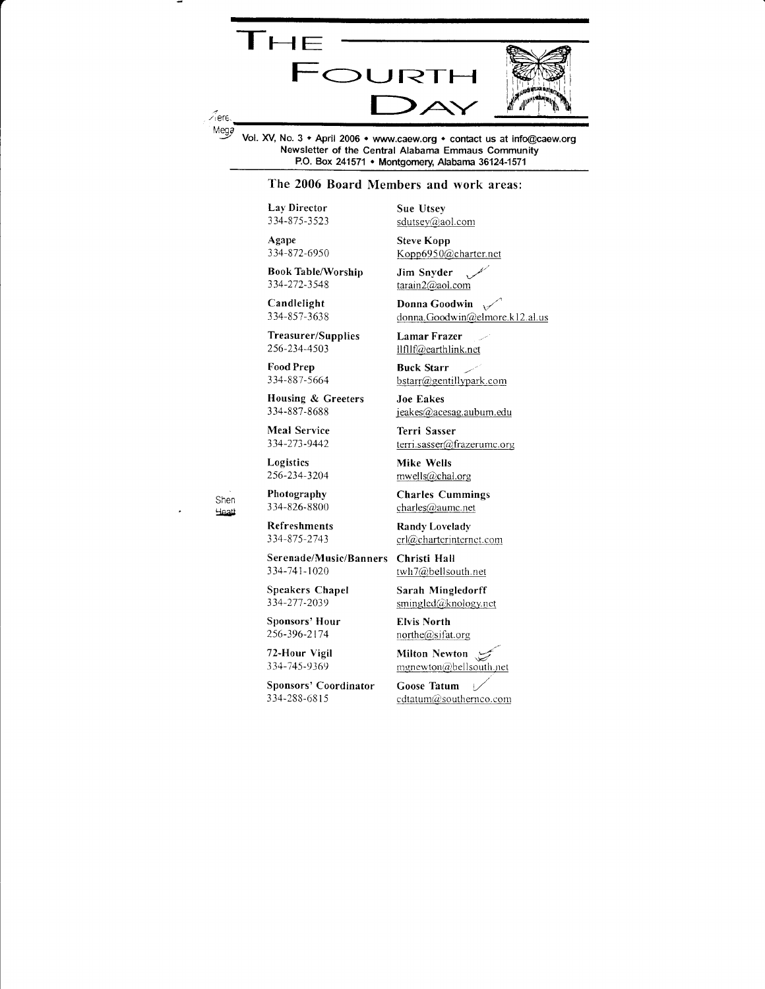

Vol. XV, No. 3 + April 2006 + www.caew.org + contact us at info@caew.org Newsletter of the Central Alabama Emmaus Community P.O. Box 241571 • Montgomery, Alabama 36124-1571

#### The 2006 Board Members and work areas:

Lay Director 334-875-3523

Agape 334-872-6950

**Book Table/Worship** 334-272-3548

Candlelight 334-857-3638

Treasurer/Supplies 256-234-4503

Food Prep 334-887-5664

Housing & Greeters 334-887-8688

Meal Service 334-273-9442

Logistics 256-234-3204

Shen Heath

Photography 334-826-8800

**Refreshments** 334-875-2743

Serenade/Music/Banners 334-741-1020

Speakers Chapel 334-277-2039

Sponsors' Hour 256-396-2174

72-Hour Vigil 334-745-9369

Sponsors' Coordinator 334-288-6815

**Sue Utsey** sdutsey@aol.com

**Steve Kopp** Kopp6950@charter.net

Jim Snyder tarain2@aol.com

Donna Goodwin  $\sqrt{ }$ donna.Goodwin@elmore.k12.al.us

**Lamar Frazer** llfllf@earthlink.net

**Buck Starr** bstarr@gentillypark.com

**Joe Eakes** jeakes@acesag.aubum.edu

Terri Sasser terri.sasser@frazerumc.org

Mike Wells mwells@chal.org

**Charles Cummings** charles@aumc.net

**Randy Lovelady** crl@charterinternet.com

Christi Hall twh7@bellsouth.net

Sarah Mingledorff smingled@knology.net

**Elvis North** northe@sifat.org

Milton Newton mgnewton@bellsouth.net

Goose Tatum cdtatum@southernco.com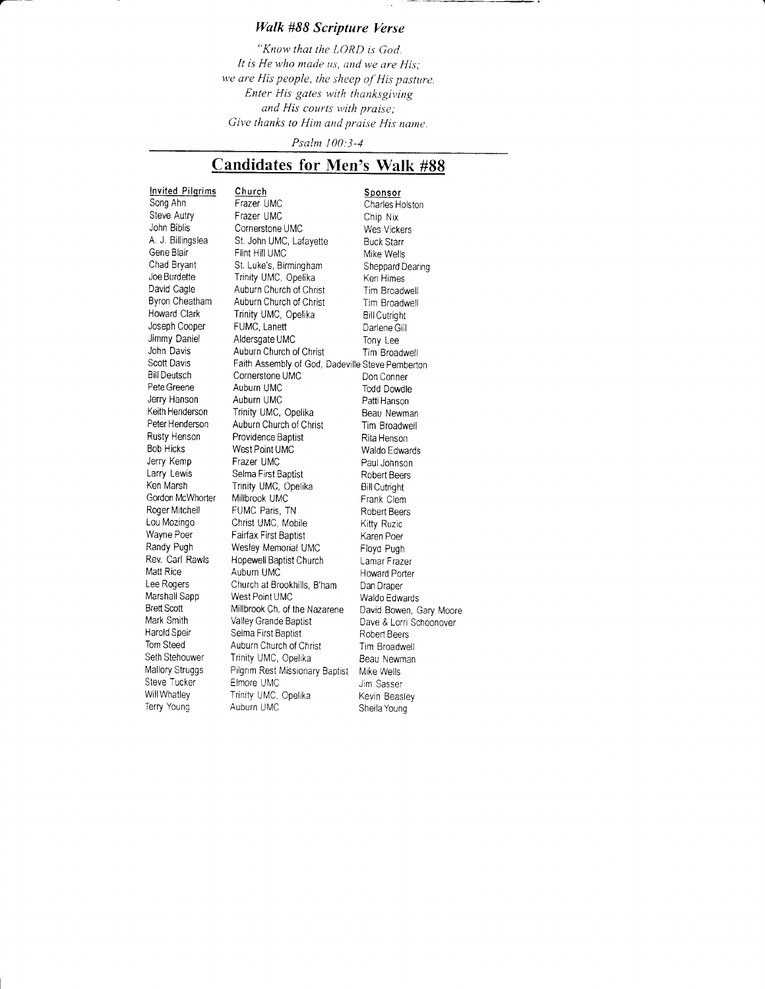## Walk #88 Scripture Verse

"Know that the LORD is God. It is He who made us, and we are His: we are His people, the sheep of His pasture. Enter His gates with thanksgiving and His courts with praise; Give thanks to Him and praise His name.

Psalm I00:3-4

## Candidates for Men's Walk #88

Joe Burdette Trinity UMC, Opelika<br>David Cagle Auburn Church of Chri Bill Deutsch Cornerstone UMC<br>
Pete Greene Auburn UMC Keith Henderson Trinity UMC, Opelika<br>Peter Henderson Auburn Church of Chri Rusty Henson Providence Baptist<br>Bob Hicks West Point UMC Roger Mitchell FUMC Paris, TN<br>Lou Mozingo Christ UMC, Mob Harold Speir Selma First Baptist<br>Tom Steed Auburn Church of C

Invited Pilgrims Church<br>Song Ahn Frazer UMC Sponsor Charles He Song Ahn Frazer UMC Charles Holston<br>Steve Autry Frazer UMC Chin Nix Steve Autry Frazer UMC Chip Nix<br>
John Biblis Cornerstone UMC Ves Vickers John Biblis Cornerstone UMC Wes Vickers Westerstone UMC<br>A. J. Billingslea St. John UMC, Lafayette Buck Starr A. J. Billingslea St. John UMC, Lafayette Buck Starr<br>Gene Blair Flint Hill UMC Gene Blair Flint Hill UMC<br>Chad Bryant St. Luke's, Birmingham Sheppard Dearing Chad Bryant St. Luke's, Birmingham Sheppard Doe Burdette Trinity UMC, Opelika David Cagle Auburn Church of Christ Tim Broadwell<br>Byron Cheatham Auburn Church of Christ Tim Broadwell Byron Cheatham Auburn Church of Christ Tim Broadwell<br>Howard Clark Trinity UMC, Opelika Bill Cutright Trinity UMC, Opelika<br>FUMC, Lanett Joseph Cooper FUMC, Lanett Christian Barlene Gill<br>Jimmy Daniel Aldersgate UMC Christian Dony Lee Jimmy Daniel Aldersgate UMC Tony Lee<br>John Davis Auburn Church of Christ Tim Broad John Davis Auburn Church of Christ Tim Broadwell<br>Scott Davis Faith Assembly of God. Dadeville Steve Pembert Scott Davis Faith Assembly of God, Dadeville Steve Pemberton<br>
Bill Deutsch Cornerstone UMC Don Conner Petecreene Auburn UMC Todd Dowdle Jerry Hanson Auburn UMC<br>Keith Henderson Trinity UMC, Opelika Beau Newman Peter Henderson Auburn Church of Christ Tim Broadwell<br>Rusty Henson Providence Baptist Rita Henson Bob Hicks West Point UMC Waldo Edwards<br>
Jerry Kemp Frazer UMC Paul Johnson Jerry Kemp Frazer UMC and Dohnson<br>Larry Lewis Selma First Baptist Robert Beers Larry Lewis Selma First Baptist Robert Beers Trinity UMC, Opelika Bill Cutright<br>Millbrook UMC Bill Frank Clem Gordon McWhorter Millbrook UMC Frank Clem<br>
Roger Mitchell FUMC Paris, TN Robert Beers Lou Mozingo Christ UMC, Mobile Kitty Ruzic<br>
Wayne Poer Fairfax First Baptist Karen Poer Wayne Poer Fairfax First Baptist Karen Poer<br>Randy Pugh Wesley Memorial UMC Floyd Pugh Randy Pugh Wesley Memorial UMC<br>Rev. Carl Rawls Hopewell Baptist Church Rev. Carl Rawls Hopewell Baptist Church Lamar Frazer Matt Rice Auburn Ul\ilC Howard porter Lee Rogers Church at Brookhills, B'ham Dan Draper<br>Marshall Sapp West Point UMC Waldo Edw Marshall Sapp West Point UMC Waldo Edwards<br>Brett Scott Millbrook Ch. of the Nazarene David Bowen ( Brett Scott Millbrook Ch. of the Nazarene David Bowen, Gary Moore<br>Mark Smith Valley Grande Baptist Dave & Lorri Schoonover Mark Smith Valley Grande Baptist Dave & Lorri Schoonover<br>Harold Speir Selma First Baptist Robert Beers Tom Steed Auburn Church of Christ Tim Broadwell<br>Seth Stehouwer Trinity UMC, Opelika Beau Newman Seth Stehouwer Trinity UMC, Opelika Beau Newman<br>Mallory Struggs Pilgrim Rest Missionary Baptist Mike Wells Mallory Struggs Pilgrim Rest Missionary Baptist Mike Wells<br>Steve Tucker Elmore UMC MIC Jim Sasser Steve Tucker Elmore UMC Jim Sasser Will Whatley Trinity UMC, Opelika Kevin Beasley<br>Terry Young Auburn UMC About Sheila Young Sheila Young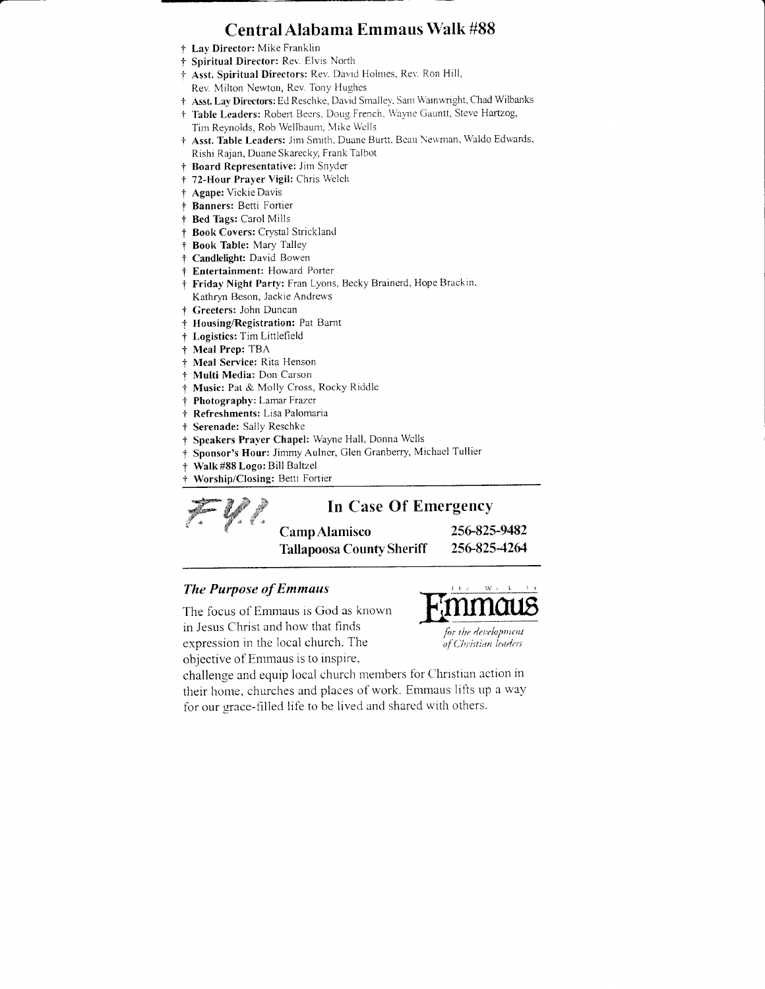# Central Alabama Emmaus Walk #88

- † Lay Director: Mike Franklin
- † Spiritual Director: Rev. Elvis North
- † Asst. Spiritual Directors: Rev. David Holmes, Rev. Ron Hill, Rev. Milton Newton, Rev. Tony Hughes
- + Asst. Lay Directors: Ed Reschke, David Smalley, Sam Wainwright, Chad Wilbanks
- † Table Leaders: Robert Beers, Doug French, Wayne Gauntt, Steve Hartzog, Tim Reynolds, Rob Wellbaum, Mike Wells
- † Asst. Table Leaders: Jim Smith, Duane Burtt, Beau Newman, Waldo Edwards, Rishi Rajan, Duane Skarecky, Frank Talbot
- † Board Representative: Jim Snyder
- † 72-Hour Prayer Vigil: Chris Welch
- † Agape: Vickie Davis
- † Banners: Betti Fortier
- + Bed Tags: Carol Mills
- † Book Covers: Crystal Strickland
- † Book Table: Mary Talley
- † Candlelight: David Bowen
- **† Entertainment:** Howard Porter
- † Friday Night Party: Fran Lyons, Becky Brainerd, Hope Brackin, Kathryn Beson, Jackie Andrews
- † Greeters: John Duncan
- † Housing/Registration: Pat Barnt
- † Logistics: Tim Littlefield
- † Meal Prep: TBA
- Meal Service: Rita Henson  $+$
- Multi Media: Don Carson  $\ddagger$
- + Music: Pat & Molly Cross, Rocky Riddle
- † Photography: Lamar Frazer
- + Refreshments: Lisa Palomaria
- + Serenade: Sally Reschke
- † Speakers Prayer Chapel: Wayne Hall, Donna Wells
- Sponsor's Hour: Jimmy Aulner, Glen Granberry, Michael Tullier  $\ddot{\tau}$
- Walk #88 Logo: Bill Baltzel
- Worship/Closing: Betti Fortier

# In Case Of Emergency

Camp Alamisco **Tallapoosa County Sheriff**  256-825-9482 256-825-4264

### **The Purpose of Emmaus**

The focus of Emmaus is God as known in Jesus Christ and how that finds expression in the local church. The objective of Emmaus is to inspire,



challenge and equip local church members for Christian action in their home, churches and places of work. Emmaus lifts up a way for our grace-filled life to be lived and shared with others.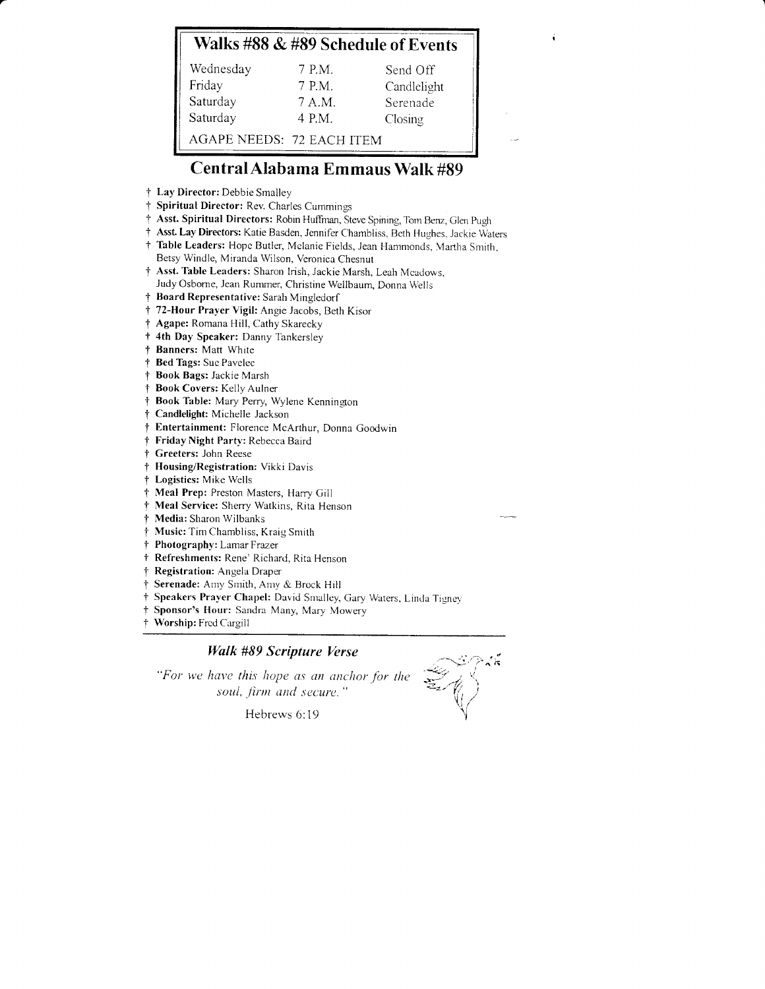# Walks #88 & #89 Schedule of Events

| Wednesday                 | 7 P.M. | Send Off    |
|---------------------------|--------|-------------|
| Friday                    | 7 P.M. | Candlelight |
| Saturday                  | 7 A.M. | Serenade    |
| Saturday                  | 4 P.M. | Closing     |
| AGAPE NEEDS: 72 EACH ITEM |        |             |

# Central Alabama Emmaus Walk #89

- † Lay Director: Debbie Smalley
- † Spiritual Director: Rev. Charles Cummings
- † Asst. Spiritual Directors: Robin Huffman, Steve Spining, Tom Benz, Glen Pugh
- † Asst. Lay Directors: Katie Basden, Jennifer Chambliss, Beth Hughes, Jackie Waters
- † Table Leaders: Hope Butler, Melanie Fields, Jean Hammonds, Martha Smith, Betsy Windle, Miranda Wilson, Veronica Chesnut
- † Asst. Table Leaders: Sharon Irish, Jackie Marsh, Leah Mcadows, Judy Osborne, Jean Rummer, Christine Wellbaum, Donna Wells
- † Board Representative: Sarah Mingledorf
- † 72-Hour Prayer Vigil: Angie Jacobs, Beth Kisor
- † Agape: Romana Hill, Cathy Skarecky
- + 4th Day Speaker: Danny Tankersley
- † Banners: Matt White
- † Bed Tags: Sue Pavelec
- † Book Bags: Jackie Marsh
- † Book Covers: Kelly Aulner
- † Book Table: Mary Perry, Wylene Kennington
- † Candlelight: Michelle Jackson
- † Entertainment: Florence McArthur, Donna Goodwin
- † Friday Night Party: Rebecca Baird
- † Greeters: John Reese
- † Housing/Registration: Vikki Davis
- † Logistics: Mike Wells
- † Meal Prep: Preston Masters, Harry Gill
- † Meal Service: Sherry Watkins, Rita Henson
- † Media: Sharon Wilbanks
- † Music: Tim Chambliss, Kraig Smith
- † Photography: Lamar Frazer
- † Refreshments: Rene' Richard, Rita Henson
- † Registration: Angela Draper
- Serenade: Amy Smith, Amy & Brock Hill
- † Speakers Prayer Chapel: David Smalley, Gary Waters, Linda Tigney
- Sponsor's Hour: Sandra Many, Mary Mowery  $\ddagger$
- † Worship: Fred Cargill

### **Walk #89 Scripture Verse**

"For we have this hope as an anchor for the soul, firm and secure.'

Hebrews 6:19